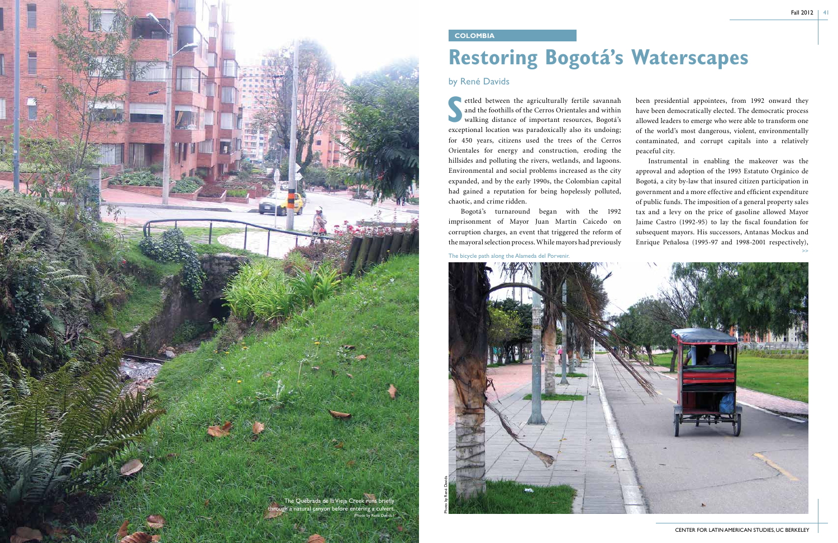

**S** ettled between the agriculturally fertile savannah and the foothills of the Cerros Orientales and within walking distance of important resources, Bogotá's exceptional location was paradoxically also its undoing; for 450 years, citizens used the trees of the Cerros Orientales for energy and construction, eroding the hillsides and polluting the rivers, wetlands, and lagoons. Environmental and social problems increased as the city expanded, and by the early 1990s, the Colombian capital had gained a reputation for being hopelessly polluted, chaotic, and crime ridden. Bogotá's turnaround began with the 1992 imprisonment of Mayor Juan Martín Caicedo on corruption charges, an event that triggered the reform of the mayoral selection process. While mayors had previously been presidential appointees, from 1992 onward they have been democratically elected. The democratic process allowed leaders to emerge who were able to transform one of the world's most dangerous, violent, environmentally contaminated, and corrupt capitals into a relatively peaceful city. Instrumental in enabling the makeover was the approval and adoption of the 1993 Estatuto Orgánico de Bogotá, a city by-law that insured citizen participation in government and a more effective and efficient expenditure of public funds. The imposition of a general property sales tax and a levy on the price of gasoline allowed Mayor Jaime Castro (1992-95) to lay the fiscal foundation for subsequent mayors. His successors, Antanas Mockus and Enrique Peñalosa (1995-97 and 1998-2001 respectively), >>

## **Restoring Bogotá's Waterscapes**

## by René Davids

## **COLOMBIA**

The bicycle path along the Alameda del Porvenir.

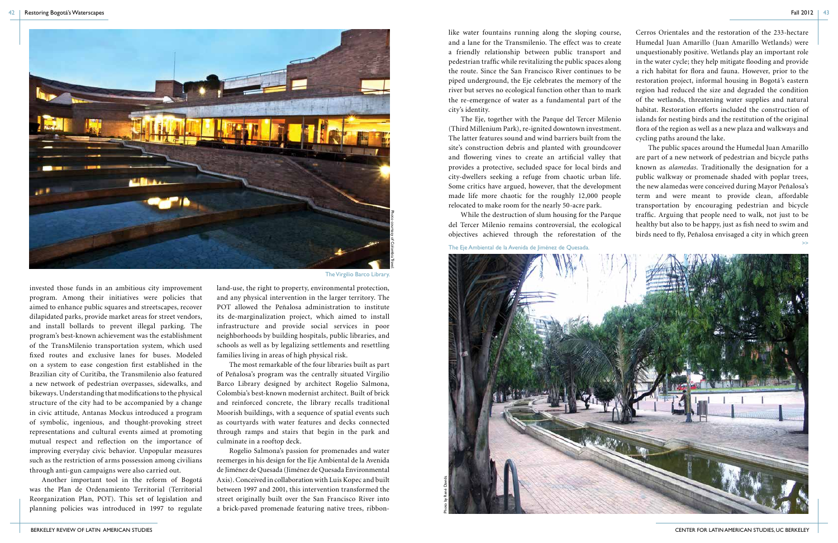BERKELEY REVIEW OF LATIN AMERICAN STUDIES CENTER FOR LATIN AMERICAN STUDIES, UC BERKELEY

like water fountains running along the sloping course, and a lane for the Transmilenio. The effect was to create a friendly relationship between public transport and pedestrian traffic while revitalizing the public spaces along the route. Since the San Francisco River continues to be piped underground, the Eje celebrates the memory of the river but serves no ecological function other than to mark the re-emergence of water as a fundamental part of the city's identity. The Eje, together with the Parque del Tercer Milenio (Third Millenium Park), re-ignited downtown investment. The latter features sound and wind barriers built from the Cerros Orientales and the restoration of the 233-hectare Humedal Juan Amarillo (Juan Amarillo Wetlands) were unquestionably positive. Wetlands play an important role in the water cycle; they help mitigate flooding and provide a rich habitat for flora and fauna. However, prior to the restoration project, informal housing in Bogotá's eastern region had reduced the size and degraded the condition of the wetlands, threatening water supplies and natural habitat. Restoration efforts included the construction of islands for nesting birds and the restitution of the original flora of the region as well as a new plaza and walkways and cycling paths around the lake.

site's construction debris and planted with groundcover and flowering vines to create an artificial valley that provides a protective, secluded space for local birds and city-dwellers seeking a refuge from chaotic urban life. Some critics have argued, however, that the development made life more chaotic for the roughly 12,000 people relocated to make room for the nearly 50-acre park. While the destruction of slum housing for the Parque del Tercer Milenio remains controversial, the ecological objectives achieved through the reforestation of the The public spaces around the Humedal Juan Amarillo are part of a new network of pedestrian and bicycle paths known as *alamedas*. Traditionally the designation for a public walkway or promenade shaded with poplar trees, the new alamedas were conceived during Mayor Peñalosa's term and were meant to provide clean, affordable transportation by encouraging pedestrian and bicycle traffic. Arguing that people need to walk, not just to be healthy but also to be happy, just as fish need to swim and birds need to fly, Peñalosa envisaged a city in which green >>

invested those funds in an ambitious city improvement program. Among their initiatives were policies that aimed to enhance public squares and streetscapes, recover dilapidated parks, provide market areas for street vendors, and install bollards to prevent illegal parking. The program's best-known achievement was the establishment of the TransMilenio transportation system, which used fixed routes and exclusive lanes for buses. Modeled on a system to ease congestion first established in the Brazilian city of Curitiba, the Transmilenio also featured a new network of pedestrian overpasses, sidewalks, and bikeways. Understanding that modifications to the physical structure of the city had to be accompanied by a change in civic attitude, Antanas Mockus introduced a program of symbolic, ingenious, and thought-provoking street representations and cultural events aimed at promoting mutual respect and reflection on the importance of improving everyday civic behavior. Unpopular measures such as the restriction of arms possession among civilians through anti-gun campaigns were also carried out.

Another important tool in the reform of Bogotá was the Plan de Ordenamiento Territorial (Territorial Reorganization Plan, POT). This set of legislation and planning policies was introduced in 1997 to regulate land-use, the right to property, environmental protection, and any physical intervention in the larger territory. The POT allowed the Peñalosa administration to institute its de-marginalization project, which aimed to install infrastructure and provide social services in poor neighborhoods by building hospitals, public libraries, and schools as well as by legalizing settlements and resettling families living in areas of high physical risk.

The most remarkable of the four libraries built as part of Peñalosa's program was the centrally situated Virgilio Barco Library designed by architect Rogelio Salmona, Colombia's best-known modernist architect. Built of brick and reinforced concrete, the library recalls traditional Moorish buildings, with a sequence of spatial events such as courtyards with water features and decks connected through ramps and stairs that begin in the park and culminate in a rooftop deck.

Rogelio Salmona's passion for promenades and water reemerges in his design for the Eje Ambiental de la Avenida de Jiménez de Quesada (Jiménez de Quesada Environmental Axis). Conceived in collaboration with Luis Kopec and built between 1997 and 2001, this intervention transformed the street originally built over the San Francisco River into a brick-paved promenade featuring native trees, ribbon-

The Virgilio Barco Library.



The Eje Ambiental de la Avenida de Jiménez de Quesada.